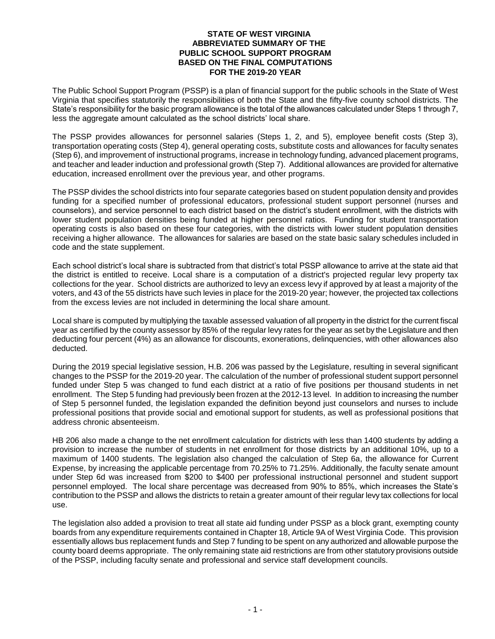## **STATE OF WEST VIRGINIA ABBREVIATED SUMMARY OF THE PUBLIC SCHOOL SUPPORT PROGRAM BASED ON THE FINAL COMPUTATIONS FOR THE 2019-20 YEAR**

The Public School Support Program (PSSP) is a plan of financial support for the public schools in the State of West Virginia that specifies statutorily the responsibilities of both the State and the fifty-five county school districts. The State's responsibility for the basic program allowance is the total of the allowances calculated under Steps 1 through 7, less the aggregate amount calculated as the school districts' local share.

The PSSP provides allowances for personnel salaries (Steps 1, 2, and 5), employee benefit costs (Step 3), transportation operating costs (Step 4), general operating costs, substitute costs and allowances for faculty senates (Step 6), and improvement of instructional programs, increase in technology funding, advanced placement programs, and teacher and leader induction and professional growth (Step 7). Additional allowances are provided for alternative education, increased enrollment over the previous year, and other programs.

The PSSP divides the school districts into four separate categories based on student population density and provides funding for a specified number of professional educators, professional student support personnel (nurses and counselors), and service personnel to each district based on the district's student enrollment, with the districts with lower student population densities being funded at higher personnel ratios. Funding for student transportation operating costs is also based on these four categories, with the districts with lower student population densities receiving a higher allowance. The allowances for salaries are based on the state basic salary schedules included in code and the state supplement.

Each school district's local share is subtracted from that district's total PSSP allowance to arrive at the state aid that the district is entitled to receive. Local share is a computation of a district's projected regular levy property tax collections for the year. School districts are authorized to levy an excess levy if approved by at least a majority of the voters, and 43 of the 55 districts have such levies in place for the 2019-20 year; however, the projected tax collections from the excess levies are not included in determining the local share amount.

Local share is computed by multiplying the taxable assessed valuation of all property in the district for the current fiscal year as certified by the county assessor by 85% of the regular levy rates for the year as set by the Legislature and then deducting four percent (4%) as an allowance for discounts, exonerations, delinquencies, with other allowances also deducted.

During the 2019 special legislative session, H.B. 206 was passed by the Legislature, resulting in several significant changes to the PSSP for the 2019-20 year. The calculation of the number of professional student support personnel funded under Step 5 was changed to fund each district at a ratio of five positions per thousand students in net enrollment. The Step 5 funding had previously been frozen at the 2012-13 level. In addition to increasing the number of Step 5 personnel funded, the legislation expanded the definition beyond just counselors and nurses to include professional positions that provide social and emotional support for students, as well as professional positions that address chronic absenteeism.

HB 206 also made a change to the net enrollment calculation for districts with less than 1400 students by adding a provision to increase the number of students in net enrollment for those districts by an additional 10%, up to a maximum of 1400 students. The legislation also changed the calculation of Step 6a, the allowance for Current Expense, by increasing the applicable percentage from 70.25% to 71.25%. Additionally, the faculty senate amount under Step 6d was increased from \$200 to \$400 per professional instructional personnel and student support personnel employed. The local share percentage was decreased from 90% to 85%, which increases the State's contribution to the PSSP and allows the districts to retain a greater amount of their regular levy tax collections for local use.

The legislation also added a provision to treat all state aid funding under PSSP as a block grant, exempting county boards from any expenditure requirements contained in Chapter 18, Article 9A of West Virginia Code. This provision essentially allows bus replacement funds and Step 7 funding to be spent on any authorized and allowable purpose the county board deems appropriate. The only remaining state aid restrictions are from other statutory provisions outside of the PSSP, including faculty senate and professional and service staff development councils.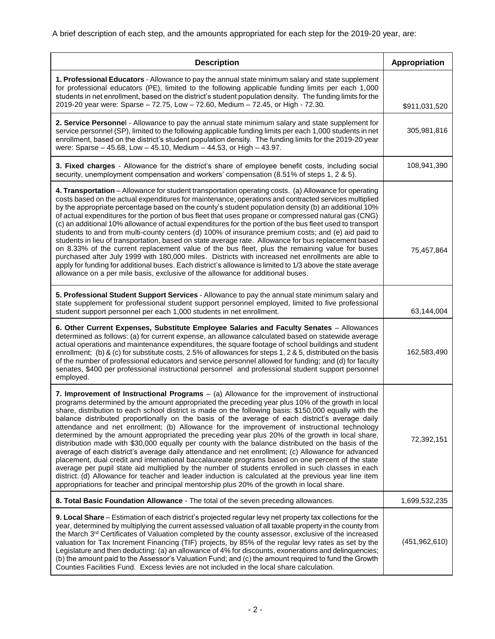A brief description of each step, and the amounts appropriated for each step for the 2019-20 year, are:

| <b>Description</b>                                                                                                                                                                                                                                                                                                                                                                                                                                                                                                                                                                                                                                                                                                                                                                                                                                                                                                                                                                                                                                                                                                                                                                                                                               | Appropriation   |
|--------------------------------------------------------------------------------------------------------------------------------------------------------------------------------------------------------------------------------------------------------------------------------------------------------------------------------------------------------------------------------------------------------------------------------------------------------------------------------------------------------------------------------------------------------------------------------------------------------------------------------------------------------------------------------------------------------------------------------------------------------------------------------------------------------------------------------------------------------------------------------------------------------------------------------------------------------------------------------------------------------------------------------------------------------------------------------------------------------------------------------------------------------------------------------------------------------------------------------------------------|-----------------|
| 1. Professional Educators - Allowance to pay the annual state minimum salary and state supplement<br>for professional educators (PE), limited to the following applicable funding limits per each 1,000<br>students in net enrollment, based on the district's student population density. The funding limits for the<br>2019-20 year were: Sparse - 72.75, Low - 72.60, Medium - 72.45, or High - 72.30.                                                                                                                                                                                                                                                                                                                                                                                                                                                                                                                                                                                                                                                                                                                                                                                                                                        | \$911,031,520   |
| 2. Service Personnel - Allowance to pay the annual state minimum salary and state supplement for<br>service personnel (SP), limited to the following applicable funding limits per each 1,000 students in net<br>enrollment, based on the district's student population density. The funding limits for the 2019-20 year<br>were: Sparse - 45.68, Low - 45.10, Medium - 44.53, or High - 43.97.                                                                                                                                                                                                                                                                                                                                                                                                                                                                                                                                                                                                                                                                                                                                                                                                                                                  | 305,981,816     |
| 3. Fixed charges - Allowance for the district's share of employee benefit costs, including social<br>security, unemployment compensation and workers' compensation (8.51% of steps 1, 2 & 5).                                                                                                                                                                                                                                                                                                                                                                                                                                                                                                                                                                                                                                                                                                                                                                                                                                                                                                                                                                                                                                                    | 108,941,390     |
| 4. Transportation - Allowance for student transportation operating costs. (a) Allowance for operating<br>costs based on the actual expenditures for maintenance, operations and contracted services multiplied<br>by the appropriate percentage based on the county's student population density (b) an additional 10%<br>of actual expenditures for the portion of bus fleet that uses propane or compressed natural gas (CNG)<br>(c) an additional 10% allowance of actual expenditures for the portion of the bus fleet used to transport<br>students to and from multi-county centers (d) 100% of insurance premium costs; and (e) aid paid to<br>students in lieu of transportation, based on state average rate. Allowance for bus replacement based<br>on 8.33% of the current replacement value of the bus fleet, plus the remaining value for buses<br>purchased after July 1999 with 180,000 miles. Districts with increased net enrollments are able to<br>apply for funding for additional buses. Each district's allowance is limited to 1/3 above the state average<br>allowance on a per mile basis, exclusive of the allowance for additional buses.                                                                             | 75,457,864      |
| 5. Professional Student Support Services - Allowance to pay the annual state minimum salary and<br>state supplement for professional student support personnel employed, limited to five professional<br>student support personnel per each 1,000 students in net enrollment.                                                                                                                                                                                                                                                                                                                                                                                                                                                                                                                                                                                                                                                                                                                                                                                                                                                                                                                                                                    | 63,144,004      |
| 6. Other Current Expenses, Substitute Employee Salaries and Faculty Senates - Allowances<br>determined as follows: (a) for current expense, an allowance calculated based on statewide average<br>actual operations and maintenance expenditures, the square footage of school buildings and student<br>enrollment; (b) & (c) for substitute costs, 2.5% of allowances for steps 1, 2 & 5, distributed on the basis<br>of the number of professional educators and service personnel allowed for funding; and (d) for faculty<br>senates, \$400 per professional instructional personnel and professional student support personnel<br>employed.                                                                                                                                                                                                                                                                                                                                                                                                                                                                                                                                                                                                 | 162,583,490     |
| 7. Improvement of Instructional Programs - (a) Allowance for the improvement of instructional<br>programs determined by the amount appropriated the preceding year plus 10% of the growth in local<br>share, distribution to each school district is made on the following basis: \$150,000 equally with the<br>balance distributed proportionally on the basis of the average of each district's average daily<br>attendance and net enrollment; (b) Allowance for the improvement of instructional technology<br>determined by the amount appropriated the preceding year plus 20% of the growth in local share,<br>distribution made with \$30,000 equally per county with the balance distributed on the basis of the<br>average of each district's average daily attendance and net enrollment; (c) Allowance for advanced<br>placement, dual credit and international baccalaureate programs based on one percent of the state<br>average per pupil state aid multiplied by the number of students enrolled in such classes in each<br>district. (d) Allowance for teacher and leader induction is calculated at the previous year line item<br>appropriations for teacher and principal mentorship plus 20% of the growth in local share. | 72,392,151      |
| 8. Total Basic Foundation Allowance - The total of the seven preceding allowances.                                                                                                                                                                                                                                                                                                                                                                                                                                                                                                                                                                                                                                                                                                                                                                                                                                                                                                                                                                                                                                                                                                                                                               | 1,699,532,235   |
| 9. Local Share - Estimation of each district's projected regular levy net property tax collections for the<br>year, determined by multiplying the current assessed valuation of all taxable property in the county from<br>the March 3 <sup>rd</sup> Certificates of Valuation completed by the county assessor, exclusive of the increased<br>valuation for Tax Increment Financing (TIF) projects, by 85% of the regular levy rates as set by the<br>Legislature and then deducting: (a) an allowance of 4% for discounts, exonerations and delinquencies;<br>(b) the amount paid to the Assessor's Valuation Fund; and (c) the amount required to fund the Growth<br>Counties Facilities Fund. Excess levies are not included in the local share calculation.                                                                                                                                                                                                                                                                                                                                                                                                                                                                                 | (451, 962, 610) |